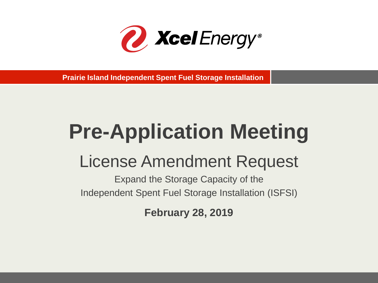

**Prairie Island Independent Spent Fuel Storage Installation**

# **Pre-Application Meeting**

# License Amendment Request

Expand the Storage Capacity of the Independent Spent Fuel Storage Installation (ISFSI)

**February 28, 2019**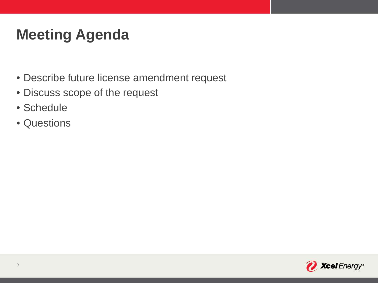# **Meeting Agenda**

- Describe future license amendment request
- Discuss scope of the request
- Schedule
- Questions

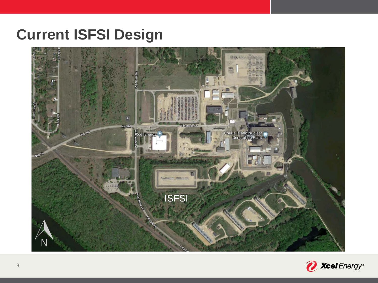#### **Current ISFSI Design**



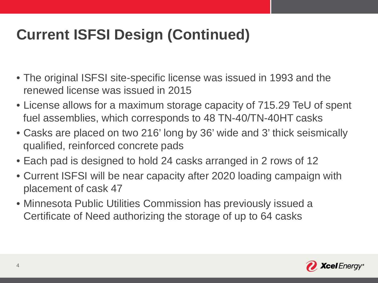# **Current ISFSI Design (Continued)**

- The original ISFSI site-specific license was issued in 1993 and the renewed license was issued in 2015
- License allows for a maximum storage capacity of 715.29 TeU of spent fuel assemblies, which corresponds to 48 TN-40/TN-40HT casks
- Casks are placed on two 216' long by 36' wide and 3' thick seismically qualified, reinforced concrete pads
- Each pad is designed to hold 24 casks arranged in 2 rows of 12
- Current ISFSI will be near capacity after 2020 loading campaign with placement of cask 47
- Minnesota Public Utilities Commission has previously issued a Certificate of Need authorizing the storage of up to 64 casks

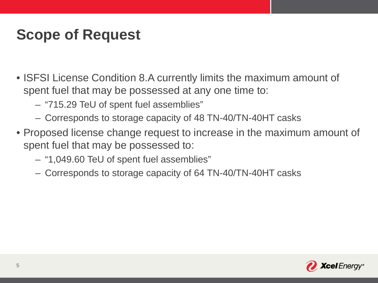#### **Scope of Request**

- ISFSI License Condition 8.A currently limits the maximum amount of spent fuel that may be possessed at any one time to:
	- "715.29 TeU of spent fuel assemblies"
	- Corresponds to storage capacity of 48 TN-40/TN-40HT casks
- Proposed license change request to increase in the maximum amount of spent fuel that may be possessed to:
	- "1,049.60 TeU of spent fuel assemblies"
	- Corresponds to storage capacity of 64 TN-40/TN-40HT casks

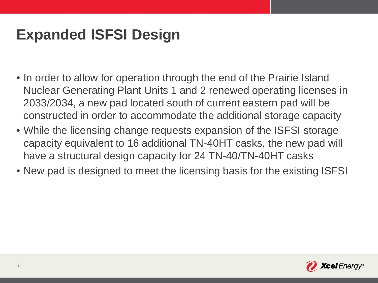## **Expanded ISFSI Design**

- In order to allow for operation through the end of the Prairie Island Nuclear Generating Plant Units 1 and 2 renewed operating licenses in 2033/2034, a new pad located south of current eastern pad will be constructed in order to accommodate the additional storage capacity
- While the licensing change requests expansion of the ISFSI storage capacity equivalent to 16 additional TN-40HT casks, the new pad will have a structural design capacity for 24 TN-40/TN-40HT casks
- New pad is designed to meet the licensing basis for the existing ISFSI

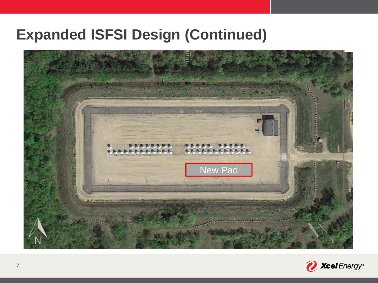#### **Expanded ISFSI Design (Continued)**



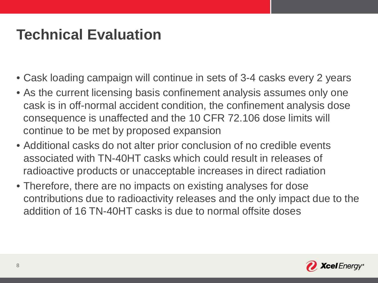#### **Technical Evaluation**

- Cask loading campaign will continue in sets of 3-4 casks every 2 years
- As the current licensing basis confinement analysis assumes only one cask is in off-normal accident condition, the confinement analysis dose consequence is unaffected and the 10 CFR 72.106 dose limits will continue to be met by proposed expansion
- Additional casks do not alter prior conclusion of no credible events associated with TN-40HT casks which could result in releases of radioactive products or unacceptable increases in direct radiation
- Therefore, there are no impacts on existing analyses for dose contributions due to radioactivity releases and the only impact due to the addition of 16 TN-40HT casks is due to normal offsite doses

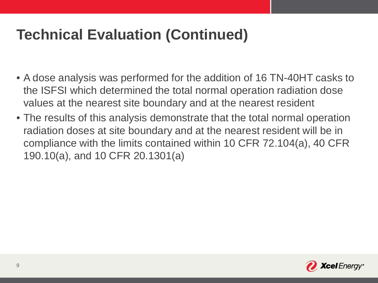# **Technical Evaluation (Continued)**

- A dose analysis was performed for the addition of 16 TN-40HT casks to the ISFSI which determined the total normal operation radiation dose values at the nearest site boundary and at the nearest resident
- The results of this analysis demonstrate that the total normal operation radiation doses at site boundary and at the nearest resident will be in compliance with the limits contained within 10 CFR 72.104(a), 40 CFR 190.10(a), and 10 CFR 20.1301(a)

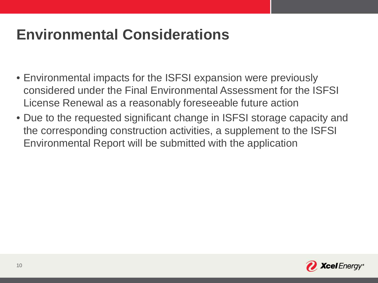## **Environmental Considerations**

- Environmental impacts for the ISFSI expansion were previously considered under the Final Environmental Assessment for the ISFSI License Renewal as a reasonably foreseeable future action
- Due to the requested significant change in ISFSI storage capacity and the corresponding construction activities, a supplement to the ISFSI Environmental Report will be submitted with the application

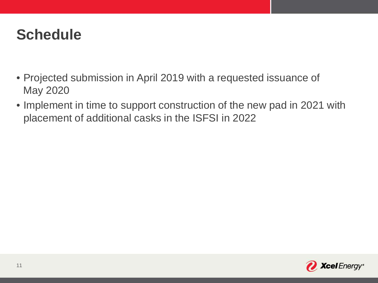#### **Schedule**

- Projected submission in April 2019 with a requested issuance of May 2020
- Implement in time to support construction of the new pad in 2021 with placement of additional casks in the ISFSI in 2022

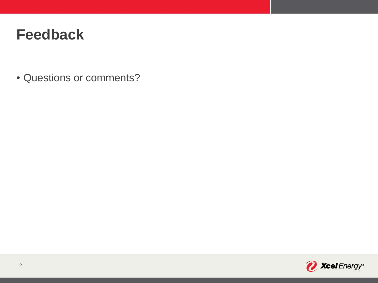#### **Feedback**

• Questions or comments?